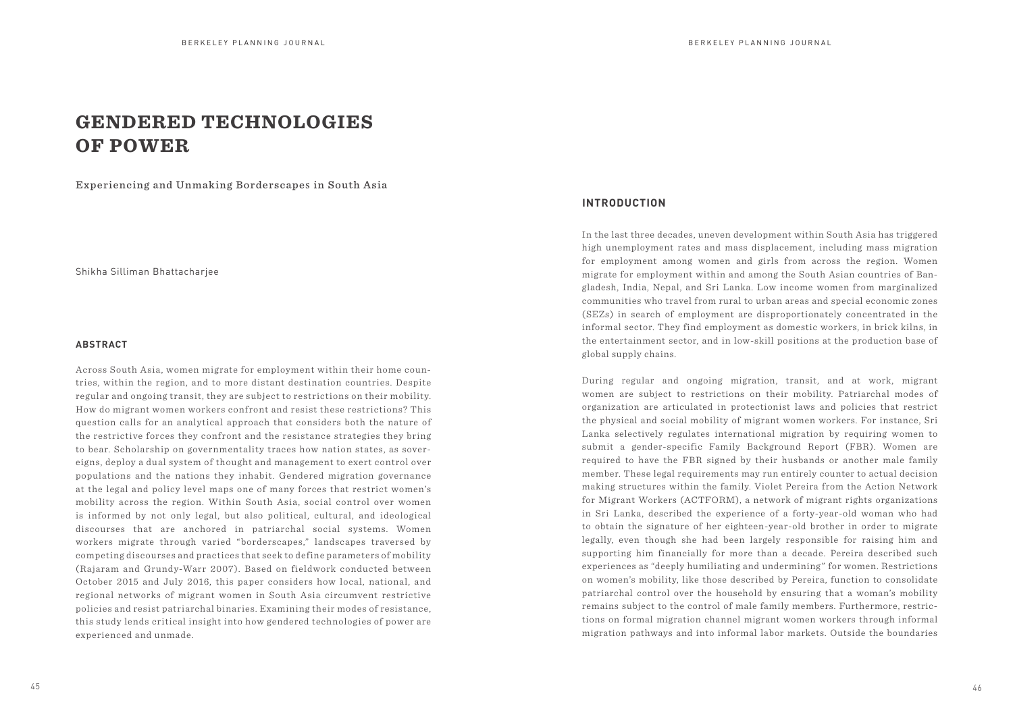# **GENDERED TECHNOLOGIES OF POWER**

Experiencing and Unmaking Borderscapes in South Asia

Shikha Silliman Bhattacharjee

#### **ABSTRACT**

Across South Asia, women migrate for employment within their home countries, within the region, and to more distant destination countries. Despite regular and ongoing transit, they are subject to restrictions on their mobility. How do migrant women workers confront and resist these restrictions? This question calls for an analytical approach that considers both the nature of the restrictive forces they confront and the resistance strategies they bring to bear. Scholarship on governmentality traces how nation states, as sovereigns, deploy a dual system of thought and management to exert control over populations and the nations they inhabit. Gendered migration governance at the legal and policy level maps one of many forces that restrict women's mobility across the region. Within South Asia, social control over women is informed by not only legal, but also political, cultural, and ideological discourses that are anchored in patriarchal social systems. Women workers migrate through varied "borderscapes," landscapes traversed by competing discourses and practices that seek to define parameters of mobility (Rajaram and Grundy-Warr 2007). Based on fieldwork conducted between October 2015 and July 2016, this paper considers how local, national, and regional networks of migrant women in South Asia circumvent restrictive policies and resist patriarchal binaries. Examining their modes of resistance, this study lends critical insight into how gendered technologies of power are experienced and unmade.

## **INTRODUCTION**

In the last three decades, uneven development within South Asia has triggered high unemployment rates and mass displacement, including mass migration for employment among women and girls from across the region. Women migrate for employment within and among the South Asian countries of Bangladesh, India, Nepal, and Sri Lanka. Low income women from marginalized communities who travel from rural to urban areas and special economic zones (SEZs) in search of employment are disproportionately concentrated in the informal sector. They find employment as domestic workers, in brick kilns, in the entertainment sector, and in low-skill positions at the production base of global supply chains.

During regular and ongoing migration, transit, and at work, migrant women are subject to restrictions on their mobility. Patriarchal modes of organization are articulated in protectionist laws and policies that restrict the physical and social mobility of migrant women workers. For instance, Sri Lanka selectively regulates international migration by requiring women to submit a gender-specific Family Background Report (FBR). Women are required to have the FBR signed by their husbands or another male family member. These legal requirements may run entirely counter to actual decision making structures within the family. Violet Pereira from the Action Network for Migrant Workers (ACTFORM), a network of migrant rights organizations in Sri Lanka, described the experience of a forty-year-old woman who had to obtain the signature of her eighteen-year-old brother in order to migrate legally, even though she had been largely responsible for raising him and supporting him financially for more than a decade. Pereira described such experiences as "deeply humiliating and undermining " for women. Restrictions on women's mobility, like those described by Pereira, function to consolidate patriarchal control over the household by ensuring that a woman's mobility remains subject to the control of male family members. Furthermore, restrictions on formal migration channel migrant women workers through informal migration pathways and into informal labor markets. Outside the boundaries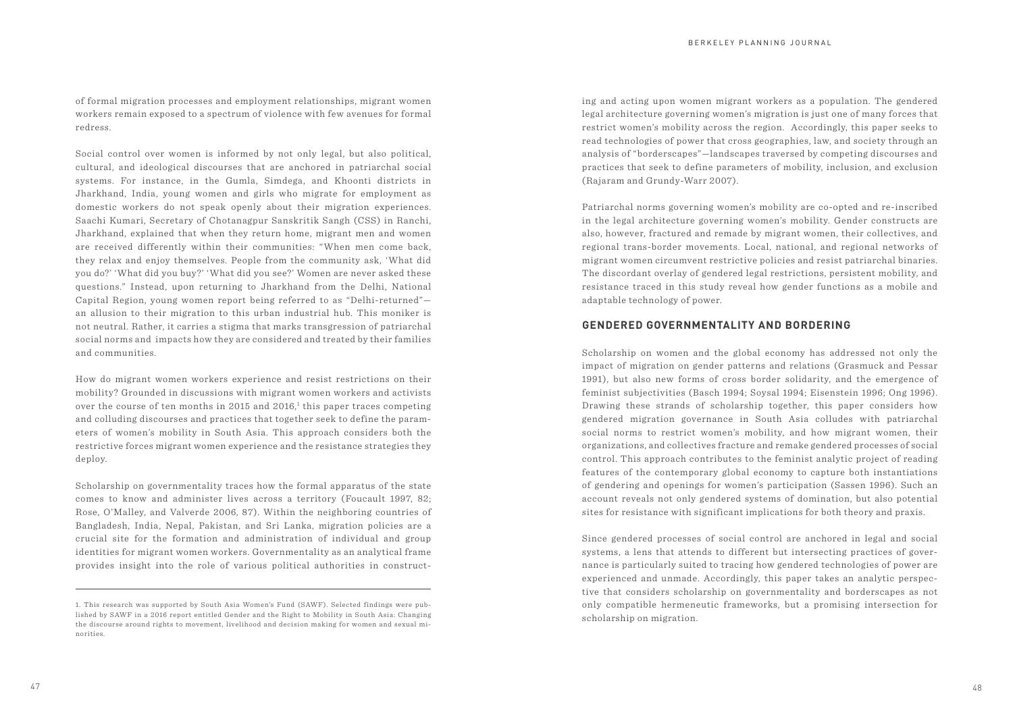of formal migration processes and employment relationships, migrant women workers remain exposed to a spectrum of violence with few avenues for formal redress.

Social control over women is informed by not only legal, but also political, cultural, and ideological discourses that are anchored in patriarchal social systems. For instance, in the Gumla, Simdega, and Khoonti districts in Jharkhand, India, young women and girls who migrate for employment as domestic workers do not speak openly about their migration experiences. Saachi Kumari, Secretary of Chotanagpur Sanskritik Sangh (CSS) in Ranchi, Jharkhand, explained that when they return home, migrant men and women are received differently within their communities: " When men come back, they relax and enjoy themselves. People from the community ask, 'What did you do?' ' What did you buy?' ' What did you see?' Women are never asked these questions." Instead, upon returning to Jharkhand from the Delhi, National Capital Region, young women report being referred to as "Delhi-returned" an allusion to their migration to this urban industrial hub. This moniker is not neutral. Rather, it carries a stigma that marks transgression of patriarchal social norms and impacts how they are considered and treated by their families and communities.

How do migrant women workers experience and resist restrictions on their mobility? Grounded in discussions with migrant women workers and activists over the course of ten months in  $2015$  and  $2016$ ,<sup>1</sup> this paper traces competing and colluding discourses and practices that together seek to define the parameters of women's mobility in South Asia. This approach considers both the restrictive forces migrant women experience and the resistance strategies they deploy.

Scholarship on governmentality traces how the formal apparatus of the state comes to know and administer lives across a territory (Foucault 1997, 82; Rose, O'Malley, and Valverde 2006, 87). Within the neighboring countries of Bangladesh, India, Nepal, Pakistan, and Sri Lanka, migration policies are a crucial site for the formation and administration of individual and group identities for migrant women workers. Governmentality as an analytical frame provides insight into the role of various political authorities in constructing and acting upon women migrant workers as a population. The gendered legal architecture governing women's migration is just one of many forces that restrict women's mobility across the region. Accordingly, this paper seeks to read technologies of power that cross geographies, law, and society through an analysis of " borderscapes"—landscapes traversed by competing discourses and practices that seek to define parameters of mobility, inclusion, and exclusion (Rajaram and Grundy-Warr 2007).

Patriarchal norms governing women's mobility are co-opted and re-inscribed in the legal architecture governing women's mobility. Gender constructs are also, however, fractured and remade by migrant women, their collectives, and regional trans-border movements. Local, national, and regional networks of migrant women circumvent restrictive policies and resist patriarchal binaries. The discordant overlay of gendered legal restrictions, persistent mobility, and resistance traced in this study reveal how gender functions as a mobile and adaptable technology of power.

# **GENDERED GOVERNMENTALITY AND BORDERING**

Scholarship on women and the global economy has addressed not only the impact of migration on gender patterns and relations (Grasmuck and Pessar 1991), but also new forms of cross border solidarity, and the emergence of feminist subjectivities (Basch 1994; Soysal 1994; Eisenstein 1996; Ong 1996). Drawing these strands of scholarship together, this paper considers how gendered migration governance in South Asia colludes with patriarchal social norms to restrict women's mobility, and how migrant women, their organizations, and collectives fracture and remake gendered processes of social control. This approach contributes to the feminist analytic project of reading features of the contemporary global economy to capture both instantiations of gendering and openings for women's participation (Sassen 1996). Such an account reveals not only gendered systems of domination, but also potential sites for resistance with significant implications for both theory and praxis.

Since gendered processes of social control are anchored in legal and social systems, a lens that attends to different but intersecting practices of governance is particularly suited to tracing how gendered technologies of power are experienced and unmade. Accordingly, this paper takes an analytic perspective that considers scholarship on governmentality and borderscapes as not only compatible hermeneutic frameworks, but a promising intersection for scholarship on migration.

<sup>1.</sup> This research was supported by South Asia Women's Fund (SAWF). Selected findings were published by SAWF in a 2016 report entitled Gender and the Right to Mobility in South Asia: Changing the discourse around rights to movement, livelihood and decision making for women and sexual minorities.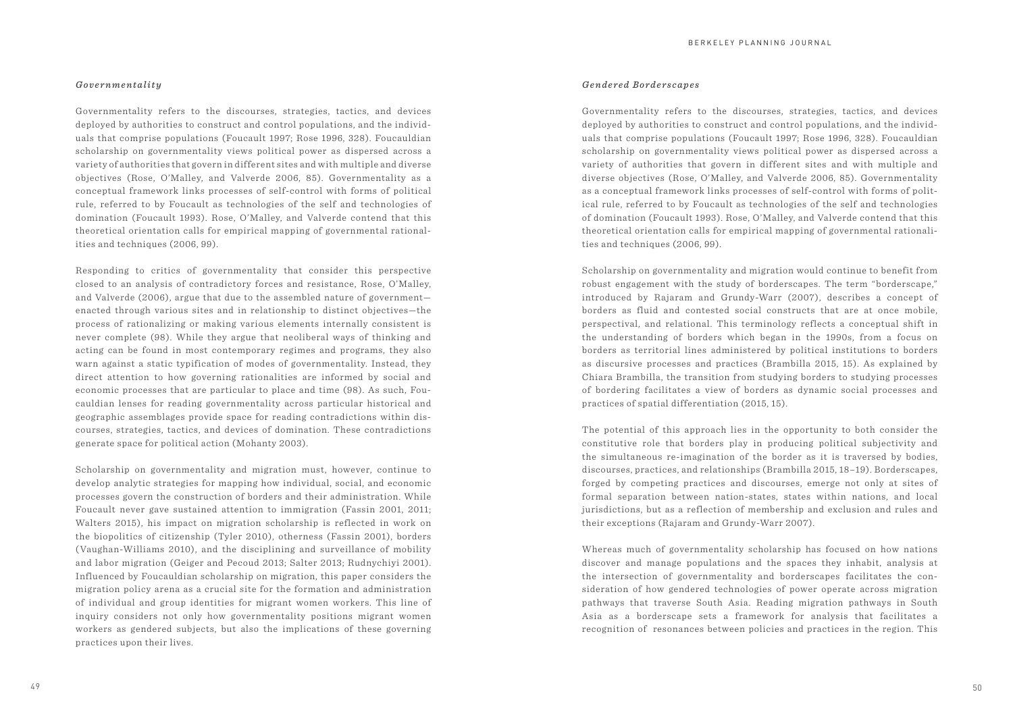#### *Governmentality*

Governmentality refers to the discourses, strategies, tactics, and devices deployed by authorities to construct and control populations, and the individuals that comprise populations (Foucault 1997; Rose 1996, 328). Foucauldian scholarship on governmentality views political power as dispersed across a variety of authorities that govern in different sites and with multiple and diverse objectives (Rose, O'Malley, and Valverde 2006, 85). Governmentality as a conceptual framework links processes of self-control with forms of political rule, referred to by Foucault as technologies of the self and technologies of domination (Foucault 1993). Rose, O'Malley, and Valverde contend that this theoretical orientation calls for empirical mapping of governmental rationalities and techniques (2006, 99).

Responding to critics of governmentality that consider this perspective closed to an analysis of contradictory forces and resistance, Rose, O'Malley, and Valverde (2006), argue that due to the assembled nature of government enacted through various sites and in relationship to distinct objectives—the process of rationalizing or making various elements internally consistent is never complete (98). While they argue that neoliberal ways of thinking and acting can be found in most contemporary regimes and programs, they also warn against a static typification of modes of governmentality. Instead, they direct attention to how governing rationalities are informed by social and economic processes that are particular to place and time (98). As such, Foucauldian lenses for reading governmentality across particular historical and geographic assemblages provide space for reading contradictions within discourses, strategies, tactics, and devices of domination. These contradictions generate space for political action (Mohanty 2003).

Scholarship on governmentality and migration must, however, continue to develop analytic strategies for mapping how individual, social, and economic processes govern the construction of borders and their administration. While Foucault never gave sustained attention to immigration (Fassin 2001, 2011; Walters 2015), his impact on migration scholarship is reflected in work on the biopolitics of citizenship (Tyler 2010), otherness (Fassin 2001), borders ( Vaughan-Williams 2010), and the disciplining and surveillance of mobility and labor migration (Geiger and Pecoud 2013; Salter 2013; Rudnychiyi 2001). Influenced by Foucauldian scholarship on migration, this paper considers the migration policy arena as a crucial site for the formation and administration of individual and group identities for migrant women workers. This line of inquiry considers not only how governmentality positions migrant women workers as gendered subjects, but also the implications of these governing practices upon their lives.

#### *Gendered Borderscapes*

Governmentality refers to the discourses, strategies, tactics, and devices deployed by authorities to construct and control populations, and the individuals that comprise populations (Foucault 1997; Rose 1996, 328). Foucauldian scholarship on governmentality views political power as dispersed across a variety of authorities that govern in different sites and with multiple and diverse objectives (Rose, O'Malley, and Valverde 2006, 85). Governmentality as a conceptual framework links processes of self-control with forms of political rule, referred to by Foucault as technologies of the self and technologies of domination (Foucault 1993). Rose, O'Malley, and Valverde contend that this theoretical orientation calls for empirical mapping of governmental rationalities and techniques (2006, 99).

Scholarship on governmentality and migration would continue to benefit from robust engagement with the study of borderscapes. The term " borderscape," introduced by Rajaram and Grundy-Warr (2007), describes a concept of borders as fluid and contested social constructs that are at once mobile, perspectival, and relational. This terminology reflects a conceptual shift in the understanding of borders which began in the 1990s, from a focus on borders as territorial lines administered by political institutions to borders as discursive processes and practices (Brambilla 2015, 15). As explained by Chiara Brambilla, the transition from studying borders to studying processes of bordering facilitates a view of borders as dynamic social processes and practices of spatial differentiation (2015, 15).

The potential of this approach lies in the opportunity to both consider the constitutive role that borders play in producing political subjectivity and the simultaneous re-imagination of the border as it is traversed by bodies, discourses, practices, and relationships (Brambilla 2015, 18–19). Borderscapes, forged by competing practices and discourses, emerge not only at sites of formal separation between nation-states, states within nations, and local jurisdictions, but as a reflection of membership and exclusion and rules and their exceptions (Rajaram and Grundy-Warr 2007).

Whereas much of governmentality scholarship has focused on how nations discover and manage populations and the spaces they inhabit, analysis at the intersection of governmentality and borderscapes facilitates the consideration of how gendered technologies of power operate across migration pathways that traverse South Asia. Reading migration pathways in South Asia as a borderscape sets a framework for analysis that facilitates a recognition of resonances between policies and practices in the region. This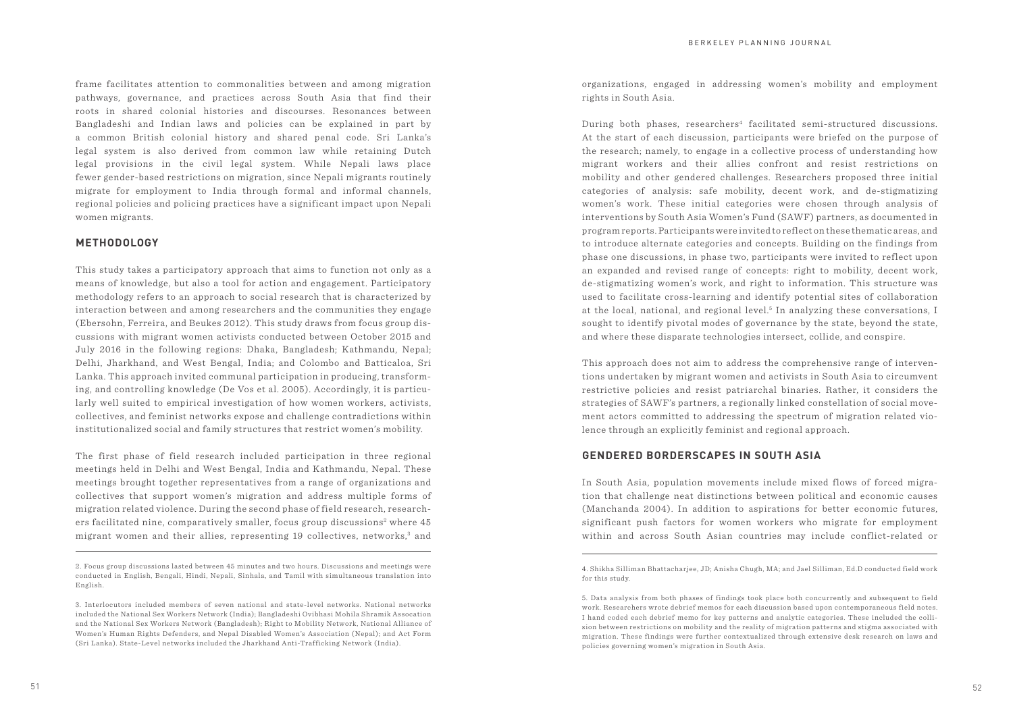frame facilitates attention to commonalities between and among migration pathways, governance, and practices across South Asia that find their roots in shared colonial histories and discourses. Resonances between Bangladeshi and Indian laws and policies can be explained in part by a common British colonial history and shared penal code. Sri Lanka's legal system is also derived from common law while retaining Dutch legal provisions in the civil legal system. While Nepali laws place fewer gender-based restrictions on migration, since Nepali migrants routinely migrate for employment to India through formal and informal channels, regional policies and policing practices have a significant impact upon Nepali women migrants.

## **METHODOLOGY**

This study takes a participatory approach that aims to function not only as a means of knowledge, but also a tool for action and engagement. Participatory methodology refers to an approach to social research that is characterized by interaction between and among researchers and the communities they engage (Ebersohn, Ferreira, and Beukes 2012). This study draws from focus group discussions with migrant women activists conducted between October 2015 and July 2016 in the following regions: Dhaka, Bangladesh; Kathmandu, Nepal; Delhi, Jharkhand, and West Bengal, India; and Colombo and Batticaloa, Sri Lanka. This approach invited communal participation in producing, transforming, and controlling knowledge (De Vos et al. 2005). Accordingly, it is particularly well suited to empirical investigation of how women workers, activists, collectives, and feminist networks expose and challenge contradictions within institutionalized social and family structures that restrict women's mobility.

The first phase of field research included participation in three regional meetings held in Delhi and West Bengal, India and Kathmandu, Nepal. These meetings brought together representatives from a range of organizations and collectives that support women's migration and address multiple forms of migration related violence. During the second phase of field research, researchers facilitated nine, comparatively smaller, focus group discussions<sup>2</sup> where 45 migrant women and their allies, representing 19 collectives, networks,<sup>3</sup> and organizations, engaged in addressing women's mobility and employment rights in South Asia.

During both phases, researchers<sup>4</sup> facilitated semi-structured discussions. At the start of each discussion, participants were briefed on the purpose of the research; namely, to engage in a collective process of understanding how migrant workers and their allies confront and resist restrictions on mobility and other gendered challenges. Researchers proposed three initial categories of analysis: safe mobility, decent work, and de-stigmatizing women's work. These initial categories were chosen through analysis of interventions by South Asia Women's Fund (SAWF) partners, as documented in program reports. Participants were invited to reflect on these thematic areas, and to introduce alternate categories and concepts. Building on the findings from phase one discussions, in phase two, participants were invited to reflect upon an expanded and revised range of concepts: right to mobility, decent work, de-stigmatizing women's work, and right to information. This structure was used to facilitate cross-learning and identify potential sites of collaboration at the local, national, and regional level.<sup>5</sup> In analyzing these conversations, I sought to identify pivotal modes of governance by the state, beyond the state, and where these disparate technologies intersect, collide, and conspire.

This approach does not aim to address the comprehensive range of interventions undertaken by migrant women and activists in South Asia to circumvent restrictive policies and resist patriarchal binaries. Rather, it considers the strategies of SAWF's partners, a regionally linked constellation of social movement actors committed to addressing the spectrum of migration related violence through an explicitly feminist and regional approach.

# **GENDERED BORDERSCAPES IN SOUTH ASIA**

In South Asia, population movements include mixed flows of forced migration that challenge neat distinctions between political and economic causes (Manchanda 2004). In addition to aspirations for better economic futures, significant push factors for women workers who migrate for employment within and across South Asian countries may include conflict-related or

<sup>2.</sup> Focus group discussions lasted between 45 minutes and two hours. Discussions and meetings were conducted in English, Bengali, Hindi, Nepali, Sinhala, and Tamil with simultaneous translation into English.

<sup>3.</sup> Interlocutors included members of seven national and state-level networks. National networks included the National Sex Workers Network (India); Bangladeshi Ovibhasi Mohila Shramik Assocation and the National Sex Workers Network (Bangladesh); Right to Mobility Network, National Alliance of Women's Human Rights Defenders, and Nepal Disabled Women's Association (Nepal); and Act Form (Sri Lanka). State-Level networks included the Jharkhand Anti-Trafficking Network (India).

<sup>4.</sup> Shikha Silliman Bhattacharjee, JD; Anisha Chugh, MA; and Jael Silliman, Ed.D conducted field work for this study.

<sup>5.</sup> Data analysis from both phases of findings took place both concurrently and subsequent to field work. Researchers wrote debrief memos for each discussion based upon contemporaneous field notes. I hand coded each debrief memo for key patterns and analytic categories. These included the collision between restrictions on mobility and the reality of migration patterns and stigma associated with migration. These findings were further contextualized through extensive desk research on laws and policies governing women's migration in South Asia.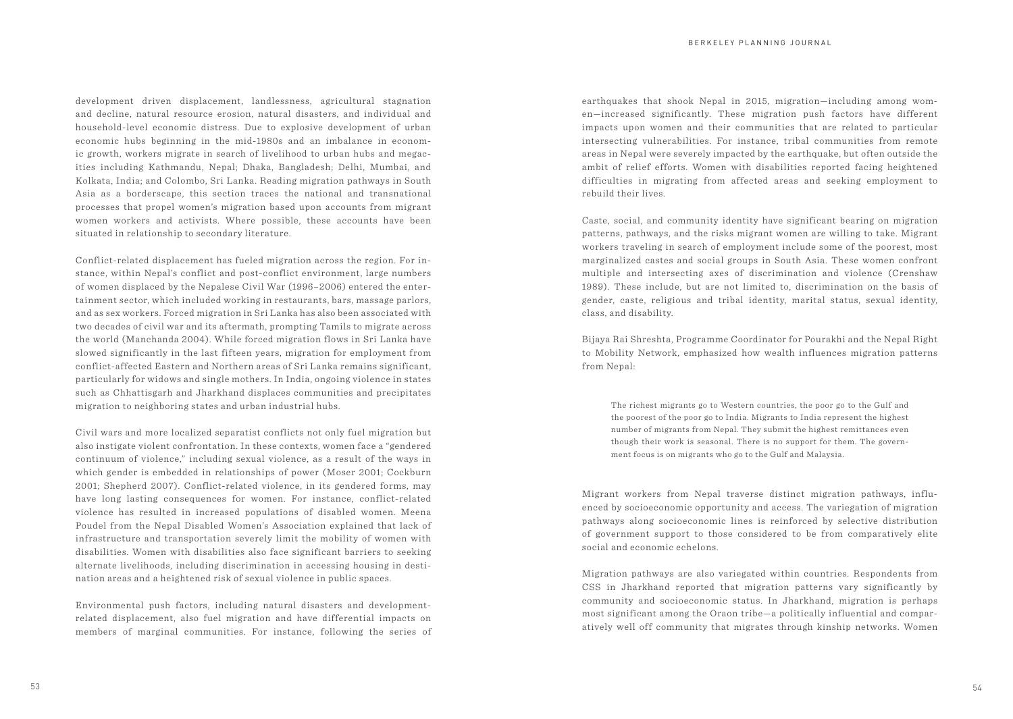development driven displacement, landlessness, agricultural stagnation and decline, natural resource erosion, natural disasters, and individual and household-level economic distress. Due to explosive development of urban economic hubs beginning in the mid-1980s and an imbalance in economic growth, workers migrate in search of livelihood to urban hubs and megacities including Kathmandu, Nepal; Dhaka, Bangladesh; Delhi, Mumbai, and Kolkata, India; and Colombo, Sri Lanka. Reading migration pathways in South Asia as a borderscape, this section traces the national and transnational processes that propel women's migration based upon accounts from migrant women workers and activists. Where possible, these accounts have been situated in relationship to secondary literature.

Conflict-related displacement has fueled migration across the region. For instance, within Nepal's conflict and post-conflict environment, large numbers of women displaced by the Nepalese Civil War (1996–2006) entered the entertainment sector, which included working in restaurants, bars, massage parlors, and as sex workers. Forced migration in Sri Lanka has also been associated with two decades of civil war and its aftermath, prompting Tamils to migrate across the world (Manchanda 2004). While forced migration flows in Sri Lanka have slowed significantly in the last fifteen years, migration for employment from conflict-affected Eastern and Northern areas of Sri Lanka remains significant, particularly for widows and single mothers. In India, ongoing violence in states such as Chhattisgarh and Jharkhand displaces communities and precipitates migration to neighboring states and urban industrial hubs.

Civil wars and more localized separatist conflicts not only fuel migration but also instigate violent confrontation. In these contexts, women face a "gendered continuum of violence," including sexual violence, as a result of the ways in which gender is embedded in relationships of power (Moser 2001; Cockburn 2001; Shepherd 2007). Conflict-related violence, in its gendered forms, may have long lasting consequences for women. For instance, conflict-related violence has resulted in increased populations of disabled women. Meena Poudel from the Nepal Disabled Women's Association explained that lack of infrastructure and transportation severely limit the mobility of women with disabilities. Women with disabilities also face significant barriers to seeking alternate livelihoods, including discrimination in accessing housing in destination areas and a heightened risk of sexual violence in public spaces.

Environmental push factors, including natural disasters and developmentrelated displacement, also fuel migration and have differential impacts on members of marginal communities. For instance, following the series of earthquakes that shook Nepal in 2015, migration—including among women—increased significantly. These migration push factors have different impacts upon women and their communities that are related to particular intersecting vulnerabilities. For instance, tribal communities from remote areas in Nepal were severely impacted by the earthquake, but often outside the ambit of relief efforts. Women with disabilities reported facing heightened difficulties in migrating from affected areas and seeking employment to rebuild their lives.

Caste, social, and community identity have significant bearing on migration patterns, pathways, and the risks migrant women are willing to take. Migrant workers traveling in search of employment include some of the poorest, most marginalized castes and social groups in South Asia. These women confront multiple and intersecting axes of discrimination and violence (Crenshaw 1989). These include, but are not limited to, discrimination on the basis of gender, caste, religious and tribal identity, marital status, sexual identity, class, and disability.

Bijaya Rai Shreshta, Programme Coordinator for Pourakhi and the Nepal Right to Mobility Network, emphasized how wealth influences migration patterns from Nepal:

The richest migrants go to Western countries, the poor go to the Gulf and the poorest of the poor go to India. Migrants to India represent the highest number of migrants from Nepal. They submit the highest remittances even though their work is seasonal. There is no support for them. The government focus is on migrants who go to the Gulf and Malaysia.

Migrant workers from Nepal traverse distinct migration pathways, influenced by socioeconomic opportunity and access. The variegation of migration pathways along socioeconomic lines is reinforced by selective distribution of government support to those considered to be from comparatively elite social and economic echelons.

Migration pathways are also variegated within countries. Respondents from CSS in Jharkhand reported that migration patterns vary significantly by community and socioeconomic status. In Jharkhand, migration is perhaps most significant among the Oraon tribe—a politically influential and comparatively well off community that migrates through kinship networks. Women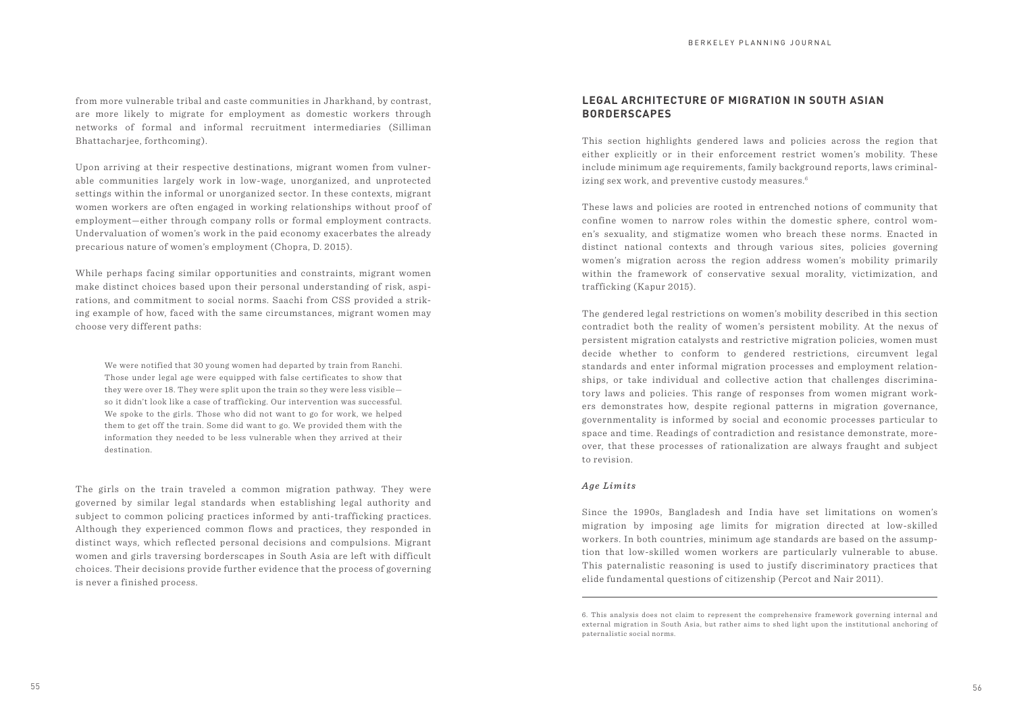from more vulnerable tribal and caste communities in Jharkhand, by contrast, are more likely to migrate for employment as domestic workers through networks of formal and informal recruitment intermediaries (Silliman Bhattacharjee, forthcoming).

Upon arriving at their respective destinations, migrant women from vulnerable communities largely work in low-wage, unorganized, and unprotected settings within the informal or unorganized sector. In these contexts, migrant women workers are often engaged in working relationships without proof of employment—either through company rolls or formal employment contracts. Undervaluation of women's work in the paid economy exacerbates the already precarious nature of women's employment (Chopra, D. 2015).

While perhaps facing similar opportunities and constraints, migrant women make distinct choices based upon their personal understanding of risk, aspirations, and commitment to social norms. Saachi from CSS provided a striking example of how, faced with the same circumstances, migrant women may choose very different paths:

We were notified that 30 young women had departed by train from Ranchi. Those under legal age were equipped with false certificates to show that they were over 18. They were split upon the train so they were less visible so it didn't look like a case of trafficking. Our intervention was successful. We spoke to the girls. Those who did not want to go for work, we helped them to get off the train. Some did want to go. We provided them with the information they needed to be less vulnerable when they arrived at their destination.

The girls on the train traveled a common migration pathway. They were governed by similar legal standards when establishing legal authority and subject to common policing practices informed by anti-trafficking practices. Although they experienced common flows and practices, they responded in distinct ways, which reflected personal decisions and compulsions. Migrant women and girls traversing borderscapes in South Asia are left with difficult choices. Their decisions provide further evidence that the process of governing is never a finished process.

# **LEGAL ARCHITECTURE OF MIGRATION IN SOUTH ASIAN BORDERSCAPES**

This section highlights gendered laws and policies across the region that either explicitly or in their enforcement restrict women's mobility. These include minimum age requirements, family background reports, laws criminalizing sex work, and preventive custody measures.<sup>6</sup>

These laws and policies are rooted in entrenched notions of community that confine women to narrow roles within the domestic sphere, control women's sexuality, and stigmatize women who breach these norms. Enacted in distinct national contexts and through various sites, policies governing women's migration across the region address women's mobility primarily within the framework of conservative sexual morality, victimization, and trafficking (Kapur 2015).

The gendered legal restrictions on women's mobility described in this section contradict both the reality of women's persistent mobility. At the nexus of persistent migration catalysts and restrictive migration policies, women must decide whether to conform to gendered restrictions, circumvent legal standards and enter informal migration processes and employment relationships, or take individual and collective action that challenges discriminatory laws and policies. This range of responses from women migrant workers demonstrates how, despite regional patterns in migration governance, governmentality is informed by social and economic processes particular to space and time. Readings of contradiction and resistance demonstrate, moreover, that these processes of rationalization are always fraught and subject to revision.

#### *Age Limits*

Since the 1990s, Bangladesh and India have set limitations on women's migration by imposing age limits for migration directed at low-skilled workers. In both countries, minimum age standards are based on the assumption that low-skilled women workers are particularly vulnerable to abuse. This paternalistic reasoning is used to justify discriminatory practices that elide fundamental questions of citizenship (Percot and Nair 2011).

<sup>6.</sup> This analysis does not claim to represent the comprehensive framework governing internal and external migration in South Asia, but rather aims to shed light upon the institutional anchoring of paternalistic social norms.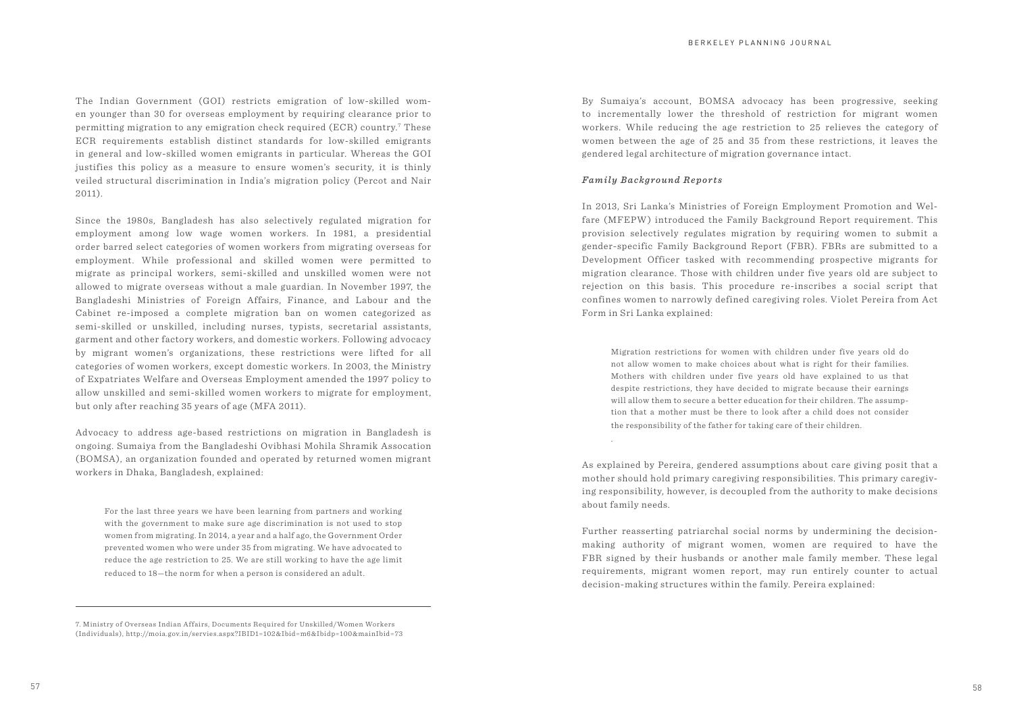The Indian Government (GOI) restricts emigration of low-skilled women younger than 30 for overseas employment by requiring clearance prior to permitting migration to any emigration check required (ECR) country.7 These ECR requirements establish distinct standards for low-skilled emigrants in general and low-skilled women emigrants in particular. Whereas the GOI justifies this policy as a measure to ensure women's security, it is thinly veiled structural discrimination in India's migration policy (Percot and Nair 2011).

Since the 1980s, Bangladesh has also selectively regulated migration for employment among low wage women workers. In 1981, a presidential order barred select categories of women workers from migrating overseas for employment. While professional and skilled women were permitted to migrate as principal workers, semi-skilled and unskilled women were not allowed to migrate overseas without a male guardian. In November 1997, the Bangladeshi Ministries of Foreign Affairs, Finance, and Labour and the Cabinet re-imposed a complete migration ban on women categorized as semi-skilled or unskilled, including nurses, typists, secretarial assistants, garment and other factory workers, and domestic workers. Following advocacy by migrant women's organizations, these restrictions were lifted for all categories of women workers, except domestic workers. In 2003, the Ministry of Expatriates Welfare and Overseas Employment amended the 1997 policy to allow unskilled and semi-skilled women workers to migrate for employment, but only after reaching 35 years of age (MFA 2011).

Advocacy to address age-based restrictions on migration in Bangladesh is ongoing. Sumaiya from the Bangladeshi Ovibhasi Mohila Shramik Assocation (BOMSA), an organization founded and operated by returned women migrant workers in Dhaka, Bangladesh, explained:

For the last three years we have been learning from partners and working with the government to make sure age discrimination is not used to stop women from migrating. In 2014, a year and a half ago, the Government Order prevented women who were under 35 from migrating. We have advocated to reduce the age restriction to 25. We are still working to have the age limit reduced to 18—the norm for when a person is considered an adult.

By Sumaiya's account, BOMSA advocacy has been progressive, seeking to incrementally lower the threshold of restriction for migrant women workers. While reducing the age restriction to 25 relieves the category of women between the age of 25 and 35 from these restrictions, it leaves the gendered legal architecture of migration governance intact.

#### *Family Background Reports*

.

In 2013, Sri Lanka's Ministries of Foreign Employment Promotion and Welfare (MFEPW) introduced the Family Background Report requirement. This provision selectively regulates migration by requiring women to submit a gender-specific Family Background Report (FBR). FBRs are submitted to a Development Officer tasked with recommending prospective migrants for migration clearance. Those with children under five years old are subject to rejection on this basis. This procedure re-inscribes a social script that confines women to narrowly defined caregiving roles. Violet Pereira from Act Form in Sri Lanka explained:

Migration restrictions for women with children under five years old do not allow women to make choices about what is right for their families. Mothers with children under five years old have explained to us that despite restrictions, they have decided to migrate because their earnings will allow them to secure a better education for their children. The assumption that a mother must be there to look after a child does not consider the responsibility of the father for taking care of their children.

As explained by Pereira, gendered assumptions about care giving posit that a mother should hold primary caregiving responsibilities. This primary caregiving responsibility, however, is decoupled from the authority to make decisions about family needs.

Further reasserting patriarchal social norms by undermining the decisionmaking authority of migrant women, women are required to have the FBR signed by their husbands or another male family member. These legal requirements, migrant women report, may run entirely counter to actual decision-making structures within the family. Pereira explained:

<sup>7.</sup> Ministry of Overseas Indian Affairs, Documents Required for Unskilled /Women Workers (Individuals), http://moia.gov.in /servies.aspx ?IBID1=102&Ibid=m6&Ibidp=100&mainIbid=73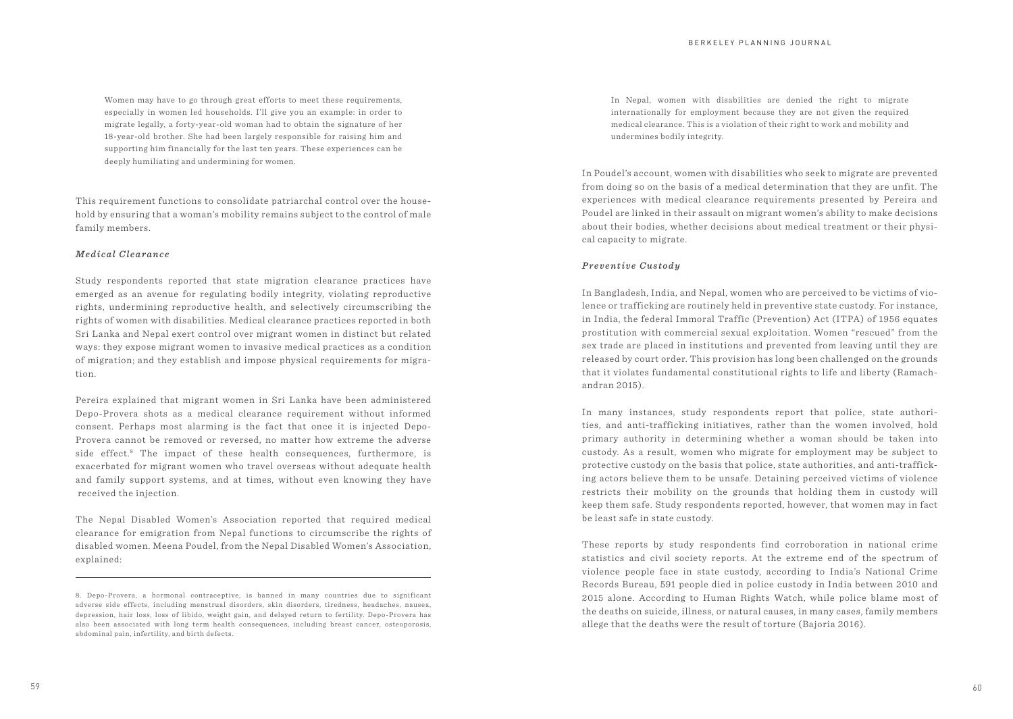Women may have to go through great efforts to meet these requirements, especially in women led households. I'll give you an example: in order to migrate legally, a forty-year-old woman had to obtain the signature of her 18-year-old brother. She had been largely responsible for raising him and supporting him financially for the last ten years. These experiences can be deeply humiliating and undermining for women.

This requirement functions to consolidate patriarchal control over the household by ensuring that a woman's mobility remains subject to the control of male family members.

## *Medical Clearance*

Study respondents reported that state migration clearance practices have emerged as an avenue for regulating bodily integrity, violating reproductive rights, undermining reproductive health, and selectively circumscribing the rights of women with disabilities. Medical clearance practices reported in both Sri Lanka and Nepal exert control over migrant women in distinct but related ways: they expose migrant women to invasive medical practices as a condition of migration; and they establish and impose physical requirements for migration.

Pereira explained that migrant women in Sri Lanka have been administered Depo-Provera shots as a medical clearance requirement without informed consent. Perhaps most alarming is the fact that once it is injected Depo-Provera cannot be removed or reversed, no matter how extreme the adverse side effect.<sup>8</sup> The impact of these health consequences, furthermore, is exacerbated for migrant women who travel overseas without adequate health and family support systems, and at times, without even knowing they have received the injection.

The Nepal Disabled Women's Association reported that required medical clearance for emigration from Nepal functions to circumscribe the rights of disabled women. Meena Poudel, from the Nepal Disabled Women's Association, explained:

In Nepal, women with disabilities are denied the right to migrate internationally for employment because they are not given the required medical clearance. This is a violation of their right to work and mobility and undermines bodily integrity.

In Poudel's account, women with disabilities who seek to migrate are prevented from doing so on the basis of a medical determination that they are unfit. The experiences with medical clearance requirements presented by Pereira and Poudel are linked in their assault on migrant women's ability to make decisions about their bodies, whether decisions about medical treatment or their physical capacity to migrate.

#### *Preventive Custody*

In Bangladesh, India, and Nepal, women who are perceived to be victims of violence or trafficking are routinely held in preventive state custody. For instance, in India, the federal Immoral Traffic (Prevention) Act (ITPA) of 1956 equates prostitution with commercial sexual exploitation. Women "rescued" from the sex trade are placed in institutions and prevented from leaving until they are released by court order. This provision has long been challenged on the grounds that it violates fundamental constitutional rights to life and liberty (Ramachandran 2015).

In many instances, study respondents report that police, state authorities, and anti-trafficking initiatives, rather than the women involved, hold primary authority in determining whether a woman should be taken into custody. As a result, women who migrate for employment may be subject to protective custody on the basis that police, state authorities, and anti-trafficking actors believe them to be unsafe. Detaining perceived victims of violence restricts their mobility on the grounds that holding them in custody will keep them safe. Study respondents reported, however, that women may in fact be least safe in state custody.

These reports by study respondents find corroboration in national crime statistics and civil society reports. At the extreme end of the spectrum of violence people face in state custody, according to India's National Crime Records Bureau, 591 people died in police custody in India between 2010 and 2015 alone. According to Human Rights Watch, while police blame most of the deaths on suicide, illness, or natural causes, in many cases, family members allege that the deaths were the result of torture (Bajoria 2016).

<sup>8.</sup> Depo-Provera, a hormonal contraceptive, is banned in many countries due to significant adverse side effects, including menstrual disorders, skin disorders, tiredness, headaches, nausea, depression, hair loss, loss of libido, weight gain, and delayed return to fertility. Depo-Provera has also been associated with long term health consequences, including breast cancer, osteoporosis, abdominal pain, infertility, and birth defects.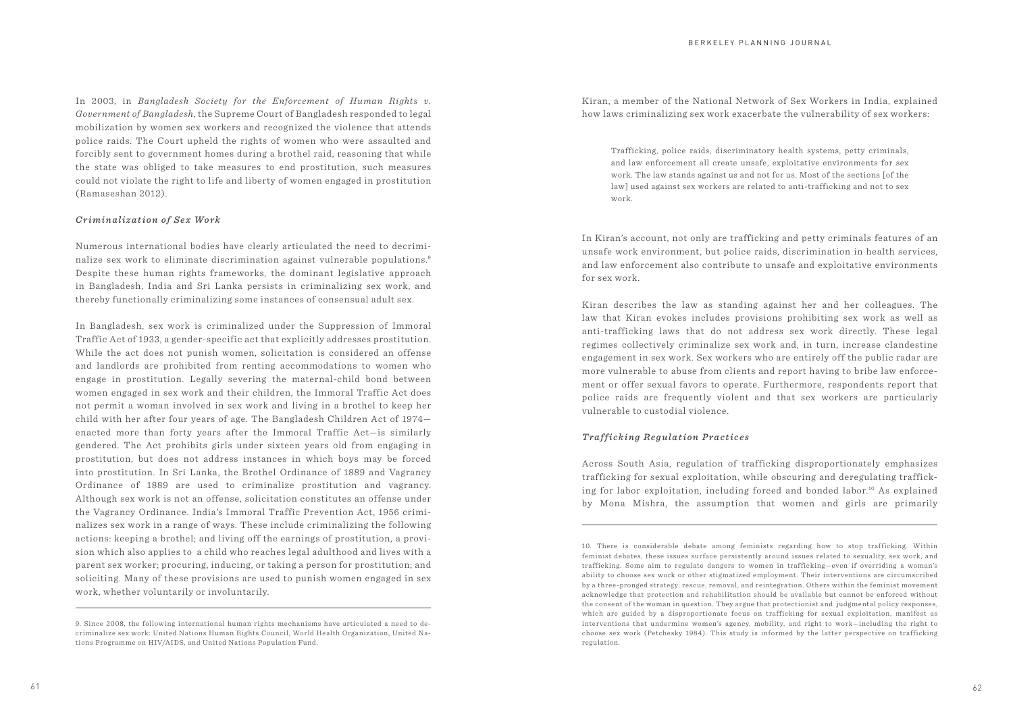In 2003, in *Bangladesh Society for the Enforcement of Human Rights v. Government of Bangladesh*, the Supreme Court of Bangladesh responded to legal mobilization by women sex workers and recognized the violence that attends police raids. The Court upheld the rights of women who were assaulted and forcibly sent to government homes during a brothel raid, reasoning that while the state was obliged to take measures to end prostitution, such measures could not violate the right to life and liberty of women engaged in prostitution (Ramaseshan 2012).

#### *Criminalization of Sex Work*

Numerous international bodies have clearly articulated the need to decriminalize sex work to eliminate discrimination against vulnerable populations.9 Despite these human rights frameworks, the dominant legislative approach in Bangladesh, India and Sri Lanka persists in criminalizing sex work, and thereby functionally criminalizing some instances of consensual adult sex.

In Bangladesh, sex work is criminalized under the Suppression of Immoral Traffic Act of 1933, a gender-specific act that explicitly addresses prostitution. While the act does not punish women, solicitation is considered an offense and landlords are prohibited from renting accommodations to women who engage in prostitution. Legally severing the maternal-child bond between women engaged in sex work and their children, the Immoral Traffic Act does not permit a woman involved in sex work and living in a brothel to keep her child with her after four years of age. The Bangladesh Children Act of 1974 enacted more than forty years after the Immoral Traffic Act—is similarly gendered. The Act prohibits girls under sixteen years old from engaging in prostitution, but does not address instances in which boys may be forced into prostitution. In Sri Lanka, the Brothel Ordinance of 1889 and Vagrancy Ordinance of 1889 are used to criminalize prostitution and vagrancy. Although sex work is not an offense, solicitation constitutes an offense under the Vagrancy Ordinance. India's Immoral Traffic Prevention Act, 1956 criminalizes sex work in a range of ways. These include criminalizing the following actions: keeping a brothel; and living off the earnings of prostitution, a provision which also applies to a child who reaches legal adulthood and lives with a parent sex worker; procuring, inducing, or taking a person for prostitution; and soliciting. Many of these provisions are used to punish women engaged in sex work, whether voluntarily or involuntarily.

Kiran, a member of the National Network of Sex Workers in India, explained how laws criminalizing sex work exacerbate the vulnerability of sex workers:

Trafficking, police raids, discriminatory health systems, petty criminals, and law enforcement all create unsafe, exploitative environments for sex work. The law stands against us and not for us. Most of the sections [of the law] used against sex workers are related to anti-trafficking and not to sex work.

In Kiran's account, not only are trafficking and petty criminals features of an unsafe work environment, but police raids, discrimination in health services, and law enforcement also contribute to unsafe and exploitative environments for sex work.

Kiran describes the law as standing against her and her colleagues. The law that Kiran evokes includes provisions prohibiting sex work as well as anti-trafficking laws that do not address sex work directly. These legal regimes collectively criminalize sex work and, in turn, increase clandestine engagement in sex work. Sex workers who are entirely off the public radar are more vulnerable to abuse from clients and report having to bribe law enforcement or offer sexual favors to operate. Furthermore, respondents report that police raids are frequently violent and that sex workers are particularly vulnerable to custodial violence.

#### *Trafficking Regulation Practices*

Across South Asia, regulation of trafficking disproportionately emphasizes trafficking for sexual exploitation, while obscuring and deregulating trafficking for labor exploitation, including forced and bonded labor.10 As explained by Mona Mishra, the assumption that women and girls are primarily

<sup>9.</sup> Since 2008, the following international human rights mechanisms have articulated a need to decriminalize sex work: United Nations Human Rights Council, World Health Organization, United Nations Programme on HIV/AIDS, and United Nations Population Fund.

<sup>10.</sup> There is considerable debate among feminists regarding how to stop trafficking. Within feminist debates, these issues surface persistently around issues related to sexuality, sex work, and trafficking. Some aim to regulate dangers to women in trafficking—even if overriding a woman's ability to choose sex work or other stigmatized employment. Their interventions are circumscribed by a three-pronged strategy: rescue, removal, and reintegration. Others within the feminist movement acknowledge that protection and rehabilitation should be available but cannot be enforced without the consent of the woman in question. They argue that protectionist and judgmental policy responses, which are guided by a disproportionate focus on trafficking for sexual exploitation, manifest as interventions that undermine women's agency, mobility, and right to work—including the right to choose sex work (Petchesky 1984). This study is informed by the latter perspective on trafficking regulation.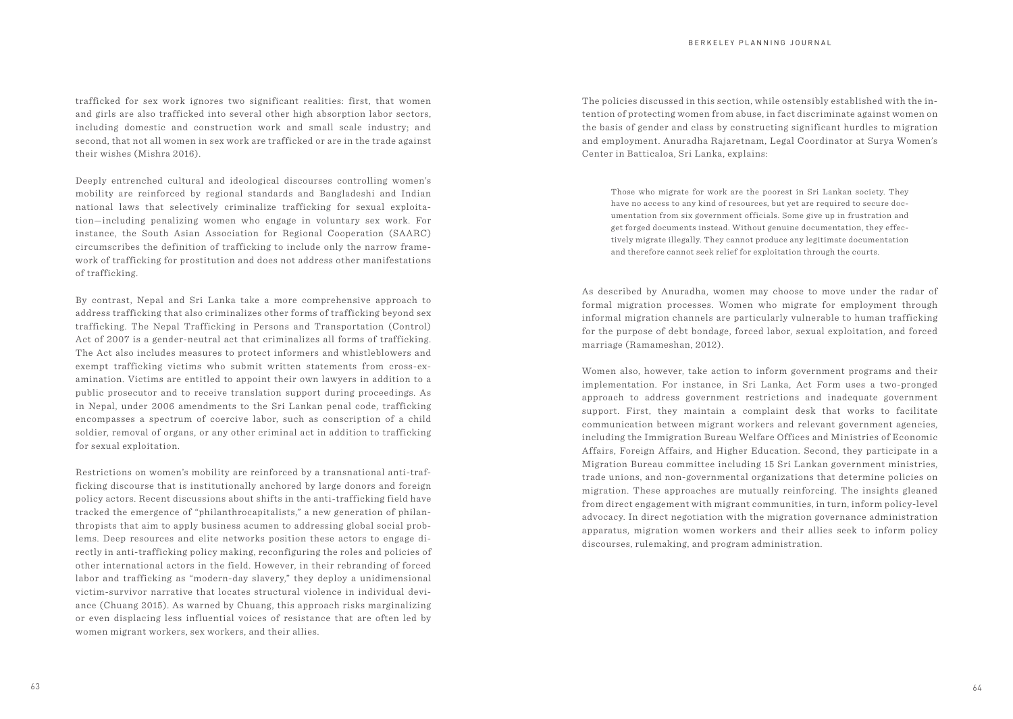trafficked for sex work ignores two significant realities: first, that women and girls are also trafficked into several other high absorption labor sectors, including domestic and construction work and small scale industry; and second, that not all women in sex work are trafficked or are in the trade against their wishes (Mishra 2016).

Deeply entrenched cultural and ideological discourses controlling women's mobility are reinforced by regional standards and Bangladeshi and Indian national laws that selectively criminalize trafficking for sexual exploitation—including penalizing women who engage in voluntary sex work. For instance, the South Asian Association for Regional Cooperation (SAARC) circumscribes the definition of trafficking to include only the narrow framework of trafficking for prostitution and does not address other manifestations of trafficking.

By contrast, Nepal and Sri Lanka take a more comprehensive approach to address trafficking that also criminalizes other forms of trafficking beyond sex trafficking. The Nepal Trafficking in Persons and Transportation (Control) Act of 2007 is a gender-neutral act that criminalizes all forms of trafficking. The Act also includes measures to protect informers and whistleblowers and exempt trafficking victims who submit written statements from cross-examination. Victims are entitled to appoint their own lawyers in addition to a public prosecutor and to receive translation support during proceedings. As in Nepal, under 2006 amendments to the Sri Lankan penal code, trafficking encompasses a spectrum of coercive labor, such as conscription of a child soldier, removal of organs, or any other criminal act in addition to trafficking for sexual exploitation.

Restrictions on women's mobility are reinforced by a transnational anti-trafficking discourse that is institutionally anchored by large donors and foreign policy actors. Recent discussions about shifts in the anti-trafficking field have tracked the emergence of "philanthrocapitalists," a new generation of philanthropists that aim to apply business acumen to addressing global social problems. Deep resources and elite networks position these actors to engage directly in anti-trafficking policy making, reconfiguring the roles and policies of other international actors in the field. However, in their rebranding of forced labor and trafficking as "modern-day slavery," they deploy a unidimensional victim-survivor narrative that locates structural violence in individual deviance (Chuang 2015). As warned by Chuang, this approach risks marginalizing or even displacing less influential voices of resistance that are often led by women migrant workers, sex workers, and their allies.

The policies discussed in this section, while ostensibly established with the intention of protecting women from abuse, in fact discriminate against women on the basis of gender and class by constructing significant hurdles to migration and employment. Anuradha Rajaretnam, Legal Coordinator at Surya Women's Center in Batticaloa, Sri Lanka, explains:

Those who migrate for work are the poorest in Sri Lankan society. They have no access to any kind of resources, but yet are required to secure documentation from six government officials. Some give up in frustration and get forged documents instead. Without genuine documentation, they effectively migrate illegally. They cannot produce any legitimate documentation and therefore cannot seek relief for exploitation through the courts.

As described by Anuradha, women may choose to move under the radar of formal migration processes. Women who migrate for employment through informal migration channels are particularly vulnerable to human trafficking for the purpose of debt bondage, forced labor, sexual exploitation, and forced marriage (Ramameshan, 2012).

Women also, however, take action to inform government programs and their implementation. For instance, in Sri Lanka, Act Form uses a two-pronged approach to address government restrictions and inadequate government support. First, they maintain a complaint desk that works to facilitate communication between migrant workers and relevant government agencies, including the Immigration Bureau Welfare Offices and Ministries of Economic Affairs, Foreign Affairs, and Higher Education. Second, they participate in a Migration Bureau committee including 15 Sri Lankan government ministries, trade unions, and non-governmental organizations that determine policies on migration. These approaches are mutually reinforcing. The insights gleaned from direct engagement with migrant communities, in turn, inform policy-level advocacy. In direct negotiation with the migration governance administration apparatus, migration women workers and their allies seek to inform policy discourses, rulemaking, and program administration.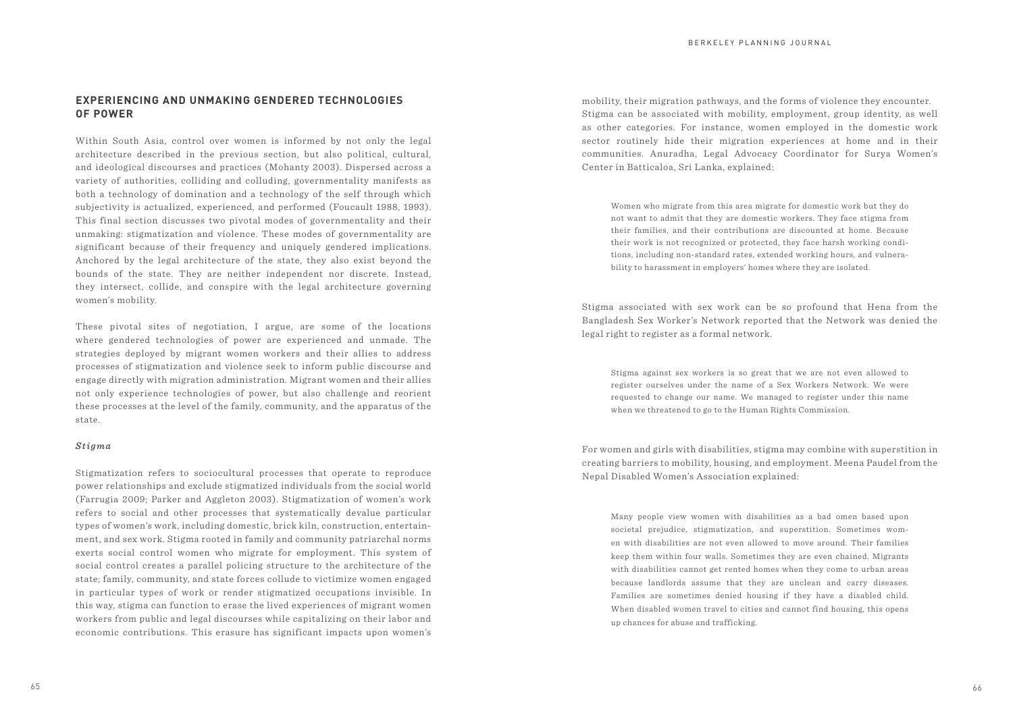# **EXPERIENCING AND UNMAKING GENDERED TECHNOLOGIES OF POWER**

Within South Asia, control over women is informed by not only the legal architecture described in the previous section, but also political, cultural, and ideological discourses and practices (Mohanty 2003). Dispersed across a variety of authorities, colliding and colluding, governmentality manifests as both a technology of domination and a technology of the self through which subjectivity is actualized, experienced, and performed (Foucault 1988, 1993). This final section discusses two pivotal modes of governmentality and their unmaking: stigmatization and violence. These modes of governmentality are significant because of their frequency and uniquely gendered implications. Anchored by the legal architecture of the state, they also exist beyond the bounds of the state. They are neither independent nor discrete. Instead, they intersect, collide, and conspire with the legal architecture governing women's mobility.

These pivotal sites of negotiation, I argue, are some of the locations where gendered technologies of power are experienced and unmade. The strategies deployed by migrant women workers and their allies to address processes of stigmatization and violence seek to inform public discourse and engage directly with migration administration. Migrant women and their allies not only experience technologies of power, but also challenge and reorient these processes at the level of the family, community, and the apparatus of the state.

#### *Stigma*

Stigmatization refers to sociocultural processes that operate to reproduce power relationships and exclude stigmatized individuals from the social world (Farrugia 2009; Parker and Aggleton 2003). Stigmatization of women's work refers to social and other processes that systematically devalue particular types of women's work, including domestic, brick kiln, construction, entertainment, and sex work. Stigma rooted in family and community patriarchal norms exerts social control women who migrate for employment. This system of social control creates a parallel policing structure to the architecture of the state; family, community, and state forces collude to victimize women engaged in particular types of work or render stigmatized occupations invisible. In this way, stigma can function to erase the lived experiences of migrant women workers from public and legal discourses while capitalizing on their labor and economic contributions. This erasure has significant impacts upon women's

mobility, their migration pathways, and the forms of violence they encounter. Stigma can be associated with mobility, employment, group identity, as well as other categories. For instance, women employed in the domestic work sector routinely hide their migration experiences at home and in their communities. Anuradha, Legal Advocacy Coordinator for Surya Women's Center in Batticaloa, Sri Lanka, explained:

Women who migrate from this area migrate for domestic work but they do not want to admit that they are domestic workers. They face stigma from their families, and their contributions are discounted at home. Because their work is not recognized or protected, they face harsh working conditions, including non-standard rates, extended working hours, and vulnerability to harassment in employers' homes where they are isolated.

Stigma associated with sex work can be so profound that Hena from the Bangladesh Sex Worker's Network reported that the Network was denied the legal right to register as a formal network.

Stigma against sex workers is so great that we are not even allowed to register ourselves under the name of a Sex Workers Network. We were requested to change our name. We managed to register under this name when we threatened to go to the Human Rights Commission.

For women and girls with disabilities, stigma may combine with superstition in creating barriers to mobility, housing, and employment. Meena Paudel from the Nepal Disabled Women's Association explained:

Many people view women with disabilities as a bad omen based upon societal prejudice, stigmatization, and superstition. Sometimes women with disabilities are not even allowed to move around. Their families keep them within four walls. Sometimes they are even chained. Migrants with disabilities cannot get rented homes when they come to urban areas because landlords assume that they are unclean and carry diseases. Families are sometimes denied housing if they have a disabled child. When disabled women travel to cities and cannot find housing, this opens up chances for abuse and trafficking.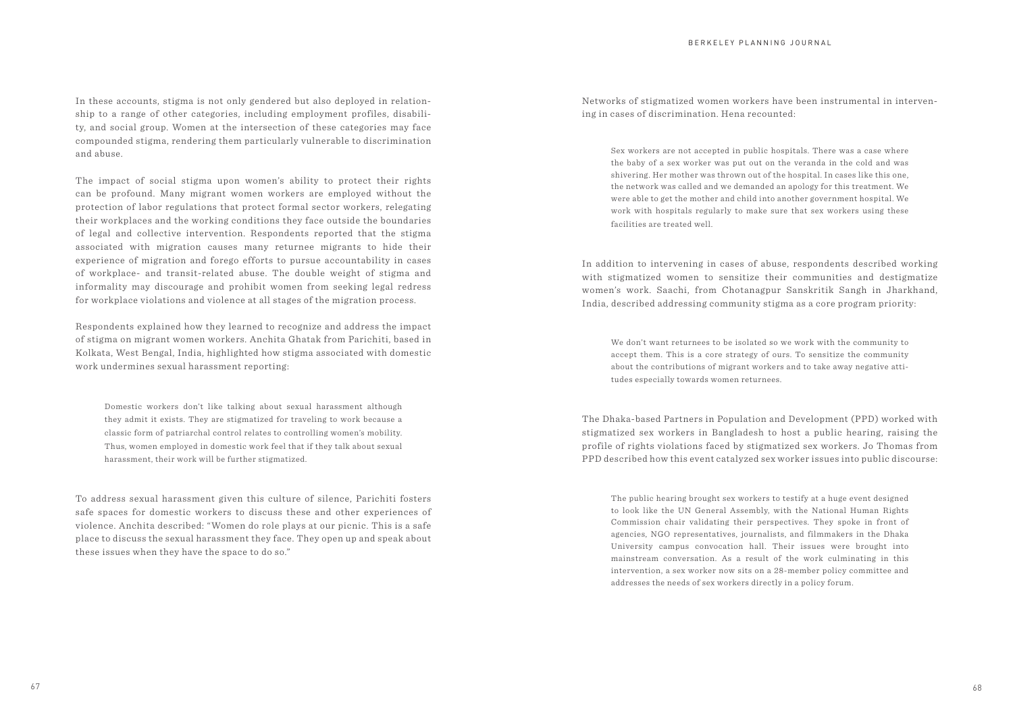In these accounts, stigma is not only gendered but also deployed in relationship to a range of other categories, including employment profiles, disability, and social group. Women at the intersection of these categories may face compounded stigma, rendering them particularly vulnerable to discrimination and abuse.

The impact of social stigma upon women's ability to protect their rights can be profound. Many migrant women workers are employed without the protection of labor regulations that protect formal sector workers, relegating their workplaces and the working conditions they face outside the boundaries of legal and collective intervention. Respondents reported that the stigma associated with migration causes many returnee migrants to hide their experience of migration and forego efforts to pursue accountability in cases of workplace- and transit-related abuse. The double weight of stigma and informality may discourage and prohibit women from seeking legal redress for workplace violations and violence at all stages of the migration process.

Respondents explained how they learned to recognize and address the impact of stigma on migrant women workers. Anchita Ghatak from Parichiti, based in Kolkata, West Bengal, India, highlighted how stigma associated with domestic work undermines sexual harassment reporting:

Domestic workers don't like talking about sexual harassment although they admit it exists. They are stigmatized for traveling to work because a classic form of patriarchal control relates to controlling women's mobility. Thus, women employed in domestic work feel that if they talk about sexual harassment, their work will be further stigmatized.

To address sexual harassment given this culture of silence, Parichiti fosters safe spaces for domestic workers to discuss these and other experiences of violence. Anchita described: " Women do role plays at our picnic. This is a safe place to discuss the sexual harassment they face. They open up and speak about these issues when they have the space to do so."

Networks of stigmatized women workers have been instrumental in intervening in cases of discrimination. Hena recounted:

Sex workers are not accepted in public hospitals. There was a case where the baby of a sex worker was put out on the veranda in the cold and was shivering. Her mother was thrown out of the hospital. In cases like this one, the network was called and we demanded an apology for this treatment. We were able to get the mother and child into another government hospital. We work with hospitals regularly to make sure that sex workers using these facilities are treated well.

In addition to intervening in cases of abuse, respondents described working with stigmatized women to sensitize their communities and destigmatize women's work. Saachi, from Chotanagpur Sanskritik Sangh in Jharkhand, India, described addressing community stigma as a core program priority:

We don't want returnees to be isolated so we work with the community to accept them. This is a core strategy of ours. To sensitize the community about the contributions of migrant workers and to take away negative attitudes especially towards women returnees.

The Dhaka-based Partners in Population and Development (PPD) worked with stigmatized sex workers in Bangladesh to host a public hearing, raising the profile of rights violations faced by stigmatized sex workers. Jo Thomas from PPD described how this event catalyzed sex worker issues into public discourse:

The public hearing brought sex workers to testify at a huge event designed to look like the UN General Assembly, with the National Human Rights Commission chair validating their perspectives. They spoke in front of agencies, NGO representatives, journalists, and filmmakers in the Dhaka University campus convocation hall. Their issues were brought into mainstream conversation. As a result of the work culminating in this intervention, a sex worker now sits on a 28-member policy committee and addresses the needs of sex workers directly in a policy forum.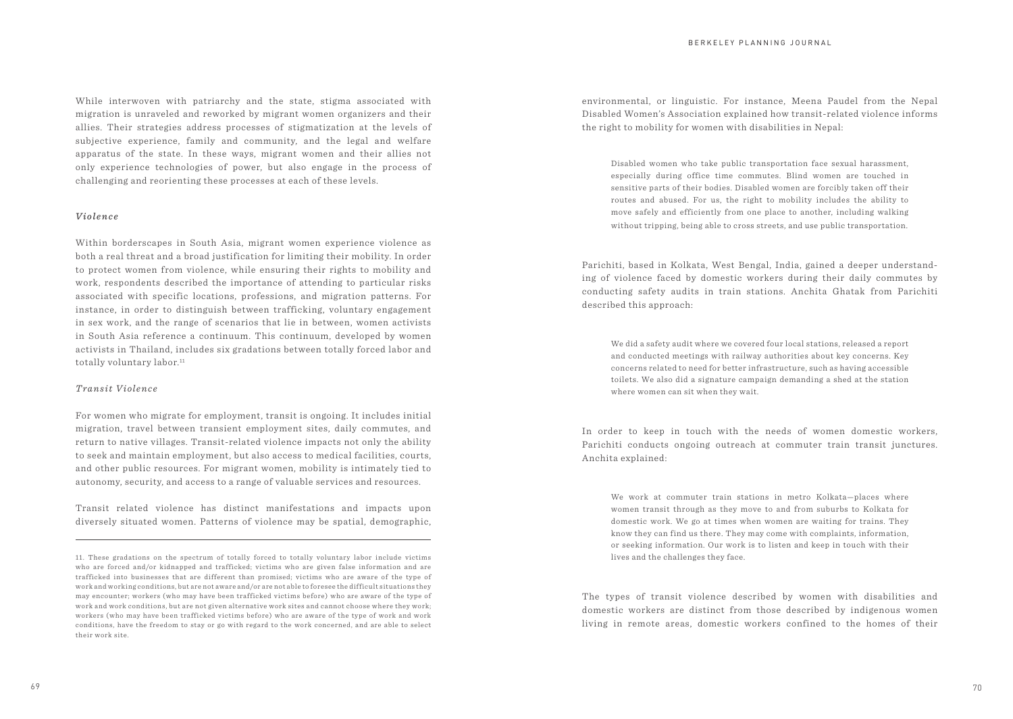While interwoven with patriarchy and the state, stigma associated with migration is unraveled and reworked by migrant women organizers and their allies. Their strategies address processes of stigmatization at the levels of subjective experience, family and community, and the legal and welfare apparatus of the state. In these ways, migrant women and their allies not only experience technologies of power, but also engage in the process of challenging and reorienting these processes at each of these levels.

## *Violence*

Within borderscapes in South Asia, migrant women experience violence as both a real threat and a broad justification for limiting their mobility. In order to protect women from violence, while ensuring their rights to mobility and work, respondents described the importance of attending to particular risks associated with specific locations, professions, and migration patterns. For instance, in order to distinguish between trafficking, voluntary engagement in sex work, and the range of scenarios that lie in between, women activists in South Asia reference a continuum. This continuum, developed by women activists in Thailand, includes six gradations between totally forced labor and totally voluntary labor.<sup>11</sup>

## *Transit Violence*

For women who migrate for employment, transit is ongoing. It includes initial migration, travel between transient employment sites, daily commutes, and return to native villages. Transit-related violence impacts not only the ability to seek and maintain employment, but also access to medical facilities, courts, and other public resources. For migrant women, mobility is intimately tied to autonomy, security, and access to a range of valuable services and resources.

Transit related violence has distinct manifestations and impacts upon diversely situated women. Patterns of violence may be spatial, demographic, environmental, or linguistic. For instance, Meena Paudel from the Nepal Disabled Women's Association explained how transit-related violence informs the right to mobility for women with disabilities in Nepal:

Disabled women who take public transportation face sexual harassment, especially during office time commutes. Blind women are touched in sensitive parts of their bodies. Disabled women are forcibly taken off their routes and abused. For us, the right to mobility includes the ability to move safely and efficiently from one place to another, including walking without tripping, being able to cross streets, and use public transportation.

Parichiti, based in Kolkata, West Bengal, India, gained a deeper understanding of violence faced by domestic workers during their daily commutes by conducting safety audits in train stations. Anchita Ghatak from Parichiti described this approach:

We did a safety audit where we covered four local stations, released a report and conducted meetings with railway authorities about key concerns. Key concerns related to need for better infrastructure, such as having accessible toilets. We also did a signature campaign demanding a shed at the station where women can sit when they wait.

In order to keep in touch with the needs of women domestic workers, Parichiti conducts ongoing outreach at commuter train transit junctures. Anchita explained:

We work at commuter train stations in metro Kolkata—places where women transit through as they move to and from suburbs to Kolkata for domestic work. We go at times when women are waiting for trains. They know they can find us there. They may come with complaints, information, or seeking information. Our work is to listen and keep in touch with their lives and the challenges they face.

The types of transit violence described by women with disabilities and domestic workers are distinct from those described by indigenous women living in remote areas, domestic workers confined to the homes of their

<sup>11.</sup> These gradations on the spectrum of totally forced to totally voluntary labor include victims who are forced and /or kidnapped and trafficked; victims who are given false information and are trafficked into businesses that are different than promised; victims who are aware of the type of work and working conditions, but are not aware and /or are not able to foresee the difficult situations they may encounter; workers (who may have been trafficked victims before) who are aware of the type of work and work conditions, but are not given alternative work sites and cannot choose where they work; workers (who may have been trafficked victims before) who are aware of the type of work and work conditions, have the freedom to stay or go with regard to the work concerned, and are able to select their work site.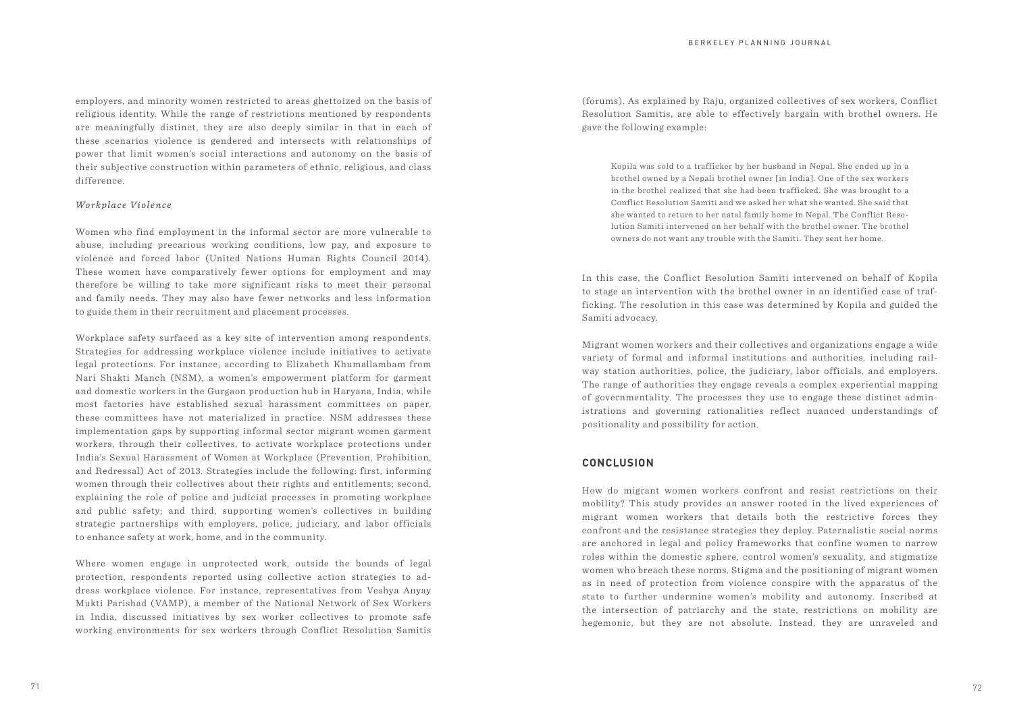employers, and minority women restricted to areas ghettoized on the basis of religious identity. While the range of restrictions mentioned by respondents are meaningfully distinct, they are also deeply similar in that in each of these scenarios violence is gendered and intersects with relationships of power that limit women's social interactions and autonomy on the basis of their subjective construction within parameters of ethnic, religious, and class difference.

## *Workplace Violence*

Women who find employment in the informal sector are more vulnerable to abuse, including precarious working conditions, low pay, and exposure to violence and forced labor (United Nations Human Rights Council 2014). These women have comparatively fewer options for employment and may therefore be willing to take more significant risks to meet their personal and family needs. They may also have fewer networks and less information to guide them in their recruitment and placement processes.

Workplace safety surfaced as a key site of intervention among respondents. Strategies for addressing workplace violence include initiatives to activate legal protections. For instance, according to Elizabeth Khumallambam from Nari Shakti Manch (NSM), a women's empowerment platform for garment and domestic workers in the Gurgaon production hub in Haryana, India, while most factories have established sexual harassment committees on paper, these committees have not materialized in practice. NSM addresses these implementation gaps by supporting informal sector migrant women garment workers, through their collectives, to activate workplace protections under India's Sexual Harassment of Women at Workplace (Prevention, Prohibition, and Redressal) Act of 2013. Strategies include the following: first, informing women through their collectives about their rights and entitlements; second, explaining the role of police and judicial processes in promoting workplace and public safety; and third, supporting women's collectives in building strategic partnerships with employers, police, judiciary, and labor officials to enhance safety at work, home, and in the community.

Where women engage in unprotected work, outside the bounds of legal protection, respondents reported using collective action strategies to ad dress workplace violence. For instance, representatives from Veshya Anyay Mukti Parishad ( VAMP), a member of the National Network of Sex Workers in India, discussed initiatives by sex worker collectives to promote safe working environments for sex workers through Conflict Resolution Samitis (forums). As explained by Raju, organized collectives of sex workers, Conflict Resolution Samitis, are able to effectively bargain with brothel owners. He gave the following example:

Kopila was sold to a trafficker by her husband in Nepal. She ended up in a brothel owned by a Nepali brothel owner [in India]. One of the sex workers in the brothel realized that she had been trafficked. She was brought to a Conflict Resolution Samiti and we asked her what she wanted. She said that she wanted to return to her natal family home in Nepal. The Conflict Reso lution Samiti intervened on her behalf with the brothel owner. The brothel owners do not want any trouble with the Samiti. They sent her home.

In this case, the Conflict Resolution Samiti intervened on behalf of Kopila to stage an intervention with the brothel owner in an identified case of traf ficking. The resolution in this case was determined by Kopila and guided the Samiti advocacy.

Migrant women workers and their collectives and organizations engage a wide variety of formal and informal institutions and authorities, including rail way station authorities, police, the judiciary, labor officials, and employers. The range of authorities they engage reveals a complex experiential mapping of governmentality. The processes they use to engage these distinct admin istrations and governing rationalities reflect nuanced understandings of positionality and possibility for action.

# **CONCLUSION**

How do migrant women workers confront and resist restrictions on their mobility? This study provides an answer rooted in the lived experiences of migrant women workers that details both the restrictive forces they confront and the resistance strategies they deploy. Paternalistic social norms are anchored in legal and policy frameworks that confine women to narrow roles within the domestic sphere, control women's sexuality, and stigmatize women who breach these norms. Stigma and the positioning of migrant women as in need of protection from violence conspire with the apparatus of the state to further undermine women's mobility and autonomy. Inscribed at the intersection of patriarchy and the state, restrictions on mobility are hegemonic, but they are not absolute. Instead, they are unraveled and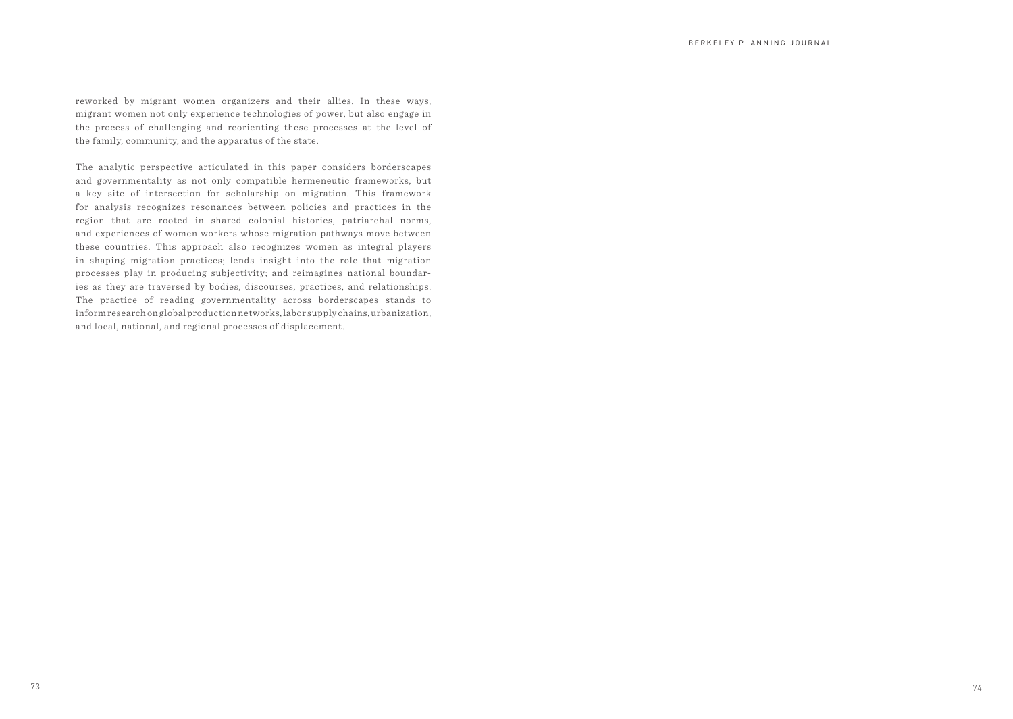reworked by migrant women organizers and their allies. In these ways, migrant women not only experience technologies of power, but also engage in the process of challenging and reorienting these processes at the level of the family, community, and the apparatus of the state.

The analytic perspective articulated in this paper considers borderscapes and governmentality as not only compatible hermeneutic frameworks, but a key site of intersection for scholarship on migration. This framework for analysis recognizes resonances between policies and practices in the region that are rooted in shared colonial histories, patriarchal norms, and experiences of women workers whose migration pathways move between these countries. This approach also recognizes women as integral players in shaping migration practices; lends insight into the role that migration processes play in producing subjectivity; and reimagines national boundaries as they are traversed by bodies, discourses, practices, and relationships. The practice of reading governmentality across borderscapes stands to inform research on global production networks, labor supply chains, urbanization, and local, national, and regional processes of displacement.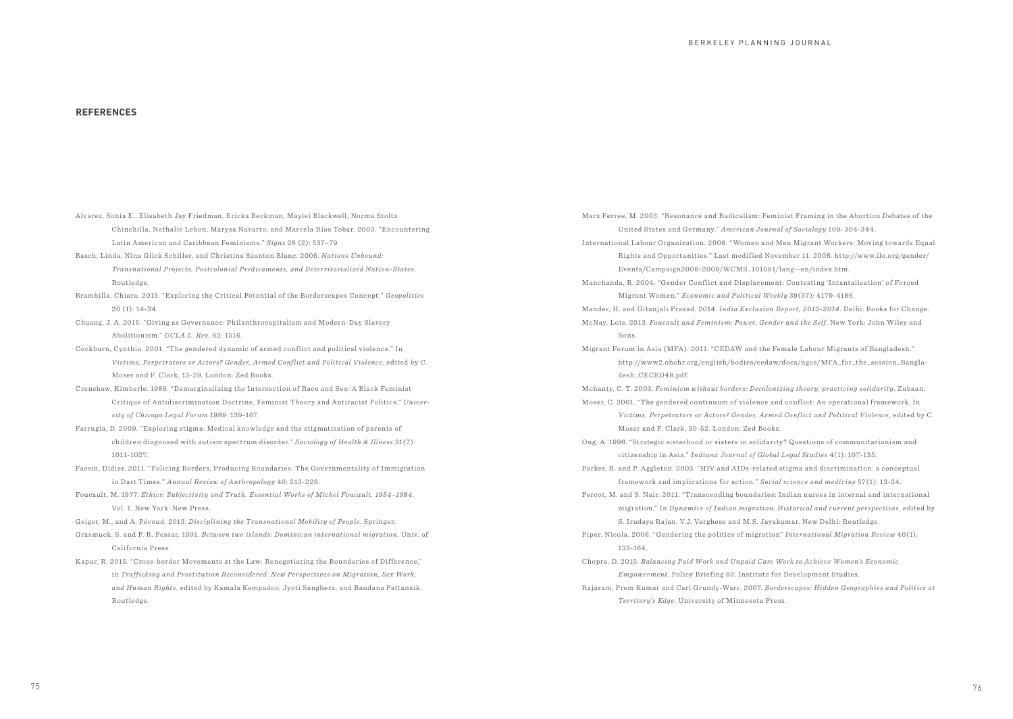#### **REFERENCES**

- Alvarez, Sonia E., Elisabeth Jay Friedman, Ericka Beckman, Maylei Blackwell, Norma Stoltz Chinchilla, Nathalie Lebon, Marysa Navarro, and Marcela Ríos Tobar. 2003. "Encountering Latin American and Caribbean Feminisms." *Signs* 28 (2): 537–79.
- Basch, Linda, Nina Glick Schiller, and Christina Szanton Blanc. 2005. *Nations Unbound: Transnational Projects, Postcolonial Predicaments, and Deterritorialized Nation-States*. Routledge.
- Brambilla, Chiara. 2015. "Exploring the Critical Potential of the Borderscapes Concept." *Geopolitics* 20 (1): 14-34.
- Chuang, J. A. 2015. "Giving as Governance: Philanthrocapitalism and Modern-Day Slavery Abolitionism." *UCLA L. Rev*. 62: 1516.
- Cockburn, Cynthia. 2001. "The gendered dynamic of armed conflict and political violence." In *Victims, Perpetrators or Actors? Gender, Armed Conflict and Political Violence,* edited by C. Moser and F. Clark, 13-29. London: Zed Books.
- Crenshaw, Kimberle. 1989. "Demarginalizing the Intersection of Race and Sex: A Black Feminist Critique of Antidiscrimination Doctrine, Feminist Theory and Antiracist Politics." *University of Chicago Legal Forum* 1989: 139-167.
- Farrugia, D. 2009. "Exploring stigma: Medical knowledge and the stigmatisation of parents of children diagnosed with autism spectrum disorder." *Sociology of Health & Illness* 31(7): 1011-1027.
- Fassin, Didier. 2011. "Policing Borders, Producing Boundaries: The Governmentality of Immigration in Dart Times." *Annual Review of Anthropology* 40: 213-226.
- Foucault, M. 1977. *Ethics: Subjectivity and Truth. Essential Works of Michel Foucault, 1954–1984*. Vol. 1. New York: New Press.
- Geiger, M., and A. Pécoud. 2013. *Disciplining the Transnational Mobility of People*. Springer.
- Grasmuck, S. and P. R. Pessar. 1991. *Between two islands: Dominican international migration.* Univ. of California Press.
- Kapur, R. 2015. "Cross-border Movements at the Law: Renegotiating the Boundaries of Difference," in *Trafficking and Prostitution Reconsidered: New Perspectives on Migration , Sex Work, and Human Rights*, edited by Kamala Kempadoo, Jyoti Sanghera, and Bandana Pattanaik. Routledge.

Marx Ferree, M. 2003. "Resonance and Radicalism: Feminist Framing in the Abortion Debates of the United States and Germany." *American Journal of Sociology* 109: 304-344.

- International Labour Organization. 2008. " Women and Men Migrant Workers: Moving towards Equal Rights and Opportunities." Last modified November 11, 2008. http://www.ilo.org /gender/ Events/Campaign2008-2009/WCMS\_101091/lang--en/index.htm.
- Manchanda, R. 2004. "Gender Conflict and Displacement: Contesting 'Intantalisation' of Forced Migrant Women." *Economic and Political Weekly* 39(37): 4179-4186.
- Mander, H. and Gitanjali Prasad. 2014. *India Exclusion Report, 2013-2014*. Delhi: Books for Change.
- McNay, Lois. 2013. *Foucault and Feminism: Power, Gender and the Self*. New York: John Wiley and Sons.
- Migrant Forum in Asia (MFA). 2011. "CEDAW and the Female Labour Migrants of Bangladesh." http://www2.ohchr.org /english / bodies /cedaw/docs /ngos /MFA\_for\_the\_session\_Bangladesh\_CECED48.pdf.
- Mohanty, C. T. 2003. *Feminism without borders: Decolonizing theory, practicing solidarity*. Zubaan.
- Moser, C. 2001. "The gendered continuum of violence and conflict: An operational framework. In *Victims, Perpetrators or Actors? Gender, Armed Conflict and Political Violence*, edited by C.
	- Moser and F. Clark, 30-52. London: Zed Books.
- Ong, A. 1996. "Strategic sisterhood or sisters in solidarity? Questions of communitarianism and citizenship in Asia." *Indiana Journal of Global Legal Studies* 4(1): 107-135.
- Parker, R. and P. Aggleton. 2003. "HIV and AIDs-related stigma and discrimination: a conceptual framework and implications for action." *Social science and medicine* 57(1): 13-24.
- Percot, M. and S. Nair. 2011. "Transcending boundaries: Indian nurses in internal and international migration," In *Dynamics of Indian migration: Historical and current perspectives*, edited by S. Irudaya Rajan, V.J. Varghese and M.S. Jayakumar. New Delhi: Routledge.
- Piper, Nicola. 2006. "Gendering the politics of migration" *International Migration Review* 40(1): 133-164.
- Chopra, D. 2015. *Balancing Paid Work and Unpaid Care Work to Achieve Women's Economic Empowerment*. Policy Briefing 83. Institute for Development Studies.
- Rajaram, Prem Kumar and Carl Grundy-Warr. 2007. *Borderscapes: Hidden Geographies and Politics at Territory's Edge*. University of Minnesota Press.